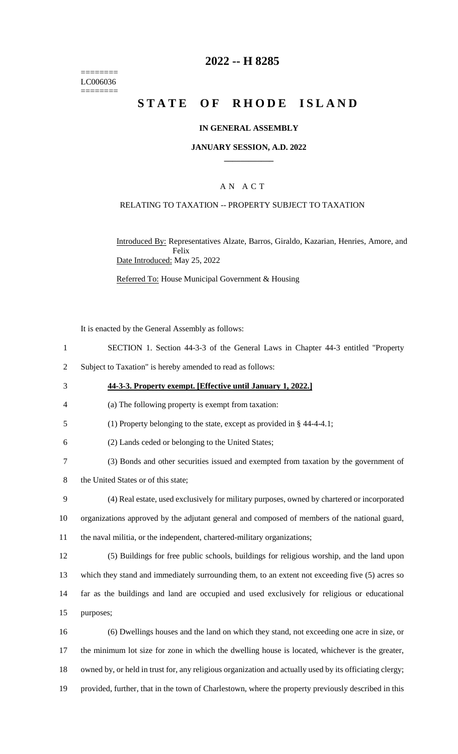======== LC006036 ========

## **2022 -- H 8285**

# **STATE OF RHODE ISLAND**

#### **IN GENERAL ASSEMBLY**

#### **JANUARY SESSION, A.D. 2022 \_\_\_\_\_\_\_\_\_\_\_\_**

### A N A C T

## RELATING TO TAXATION -- PROPERTY SUBJECT TO TAXATION

Introduced By: Representatives Alzate, Barros, Giraldo, Kazarian, Henries, Amore, and Felix Date Introduced: May 25, 2022

Referred To: House Municipal Government & Housing

It is enacted by the General Assembly as follows:

- 1 SECTION 1. Section 44-3-3 of the General Laws in Chapter 44-3 entitled "Property
- 2 Subject to Taxation" is hereby amended to read as follows:
- 3 **44-3-3. Property exempt. [Effective until January 1, 2022.]**
- 4 (a) The following property is exempt from taxation:
- 5 (1) Property belonging to the state, except as provided in § 44-4-4.1;
- 6 (2) Lands ceded or belonging to the United States;
- 7 (3) Bonds and other securities issued and exempted from taxation by the government of
- 8 the United States or of this state;
- 9 (4) Real estate, used exclusively for military purposes, owned by chartered or incorporated 10 organizations approved by the adjutant general and composed of members of the national guard,
- 11 the naval militia, or the independent, chartered-military organizations;
- 12 (5) Buildings for free public schools, buildings for religious worship, and the land upon 13 which they stand and immediately surrounding them, to an extent not exceeding five (5) acres so 14 far as the buildings and land are occupied and used exclusively for religious or educational 15 purposes;
- 16 (6) Dwellings houses and the land on which they stand, not exceeding one acre in size, or 17 the minimum lot size for zone in which the dwelling house is located, whichever is the greater, 18 owned by, or held in trust for, any religious organization and actually used by its officiating clergy; 19 provided, further, that in the town of Charlestown, where the property previously described in this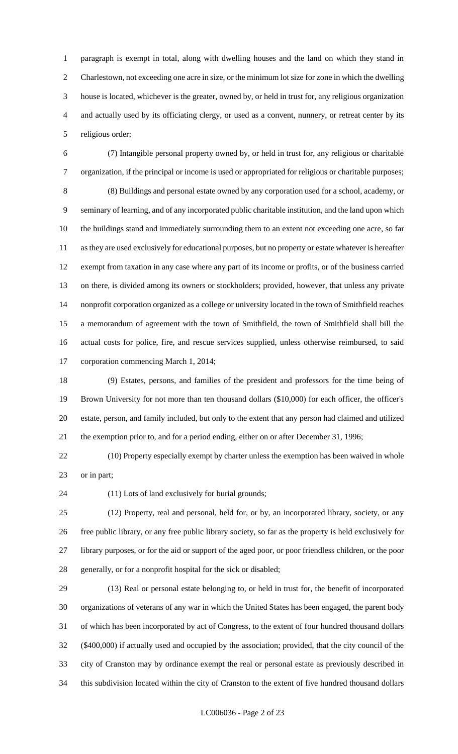paragraph is exempt in total, along with dwelling houses and the land on which they stand in Charlestown, not exceeding one acre in size, or the minimum lot size for zone in which the dwelling house is located, whichever is the greater, owned by, or held in trust for, any religious organization and actually used by its officiating clergy, or used as a convent, nunnery, or retreat center by its religious order;

 (7) Intangible personal property owned by, or held in trust for, any religious or charitable organization, if the principal or income is used or appropriated for religious or charitable purposes; (8) Buildings and personal estate owned by any corporation used for a school, academy, or seminary of learning, and of any incorporated public charitable institution, and the land upon which the buildings stand and immediately surrounding them to an extent not exceeding one acre, so far as they are used exclusively for educational purposes, but no property or estate whatever is hereafter exempt from taxation in any case where any part of its income or profits, or of the business carried on there, is divided among its owners or stockholders; provided, however, that unless any private nonprofit corporation organized as a college or university located in the town of Smithfield reaches a memorandum of agreement with the town of Smithfield, the town of Smithfield shall bill the actual costs for police, fire, and rescue services supplied, unless otherwise reimbursed, to said corporation commencing March 1, 2014;

 (9) Estates, persons, and families of the president and professors for the time being of Brown University for not more than ten thousand dollars (\$10,000) for each officer, the officer's estate, person, and family included, but only to the extent that any person had claimed and utilized the exemption prior to, and for a period ending, either on or after December 31, 1996;

 (10) Property especially exempt by charter unless the exemption has been waived in whole or in part;

(11) Lots of land exclusively for burial grounds;

 (12) Property, real and personal, held for, or by, an incorporated library, society, or any free public library, or any free public library society, so far as the property is held exclusively for library purposes, or for the aid or support of the aged poor, or poor friendless children, or the poor generally, or for a nonprofit hospital for the sick or disabled;

 (13) Real or personal estate belonging to, or held in trust for, the benefit of incorporated organizations of veterans of any war in which the United States has been engaged, the parent body of which has been incorporated by act of Congress, to the extent of four hundred thousand dollars (\$400,000) if actually used and occupied by the association; provided, that the city council of the city of Cranston may by ordinance exempt the real or personal estate as previously described in this subdivision located within the city of Cranston to the extent of five hundred thousand dollars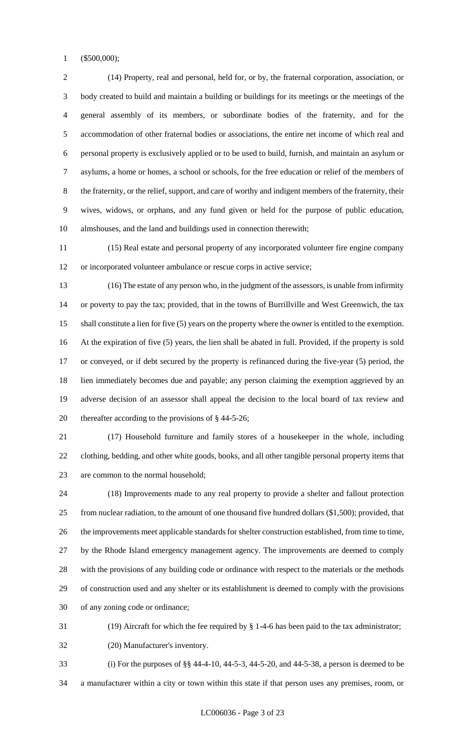(\$500,000);

 (14) Property, real and personal, held for, or by, the fraternal corporation, association, or body created to build and maintain a building or buildings for its meetings or the meetings of the general assembly of its members, or subordinate bodies of the fraternity, and for the accommodation of other fraternal bodies or associations, the entire net income of which real and personal property is exclusively applied or to be used to build, furnish, and maintain an asylum or asylums, a home or homes, a school or schools, for the free education or relief of the members of the fraternity, or the relief, support, and care of worthy and indigent members of the fraternity, their wives, widows, or orphans, and any fund given or held for the purpose of public education, almshouses, and the land and buildings used in connection therewith;

 (15) Real estate and personal property of any incorporated volunteer fire engine company or incorporated volunteer ambulance or rescue corps in active service;

 (16) The estate of any person who, in the judgment of the assessors, is unable from infirmity or poverty to pay the tax; provided, that in the towns of Burrillville and West Greenwich, the tax shall constitute a lien for five (5) years on the property where the owner is entitled to the exemption. At the expiration of five (5) years, the lien shall be abated in full. Provided, if the property is sold or conveyed, or if debt secured by the property is refinanced during the five-year (5) period, the lien immediately becomes due and payable; any person claiming the exemption aggrieved by an adverse decision of an assessor shall appeal the decision to the local board of tax review and thereafter according to the provisions of § 44-5-26;

 (17) Household furniture and family stores of a housekeeper in the whole, including clothing, bedding, and other white goods, books, and all other tangible personal property items that are common to the normal household;

 (18) Improvements made to any real property to provide a shelter and fallout protection from nuclear radiation, to the amount of one thousand five hundred dollars (\$1,500); provided, that the improvements meet applicable standards for shelter construction established, from time to time, by the Rhode Island emergency management agency. The improvements are deemed to comply with the provisions of any building code or ordinance with respect to the materials or the methods of construction used and any shelter or its establishment is deemed to comply with the provisions of any zoning code or ordinance;

(19) Aircraft for which the fee required by § 1-4-6 has been paid to the tax administrator;

(20) Manufacturer's inventory.

 (i) For the purposes of §§ 44-4-10, 44-5-3, 44-5-20, and 44-5-38, a person is deemed to be a manufacturer within a city or town within this state if that person uses any premises, room, or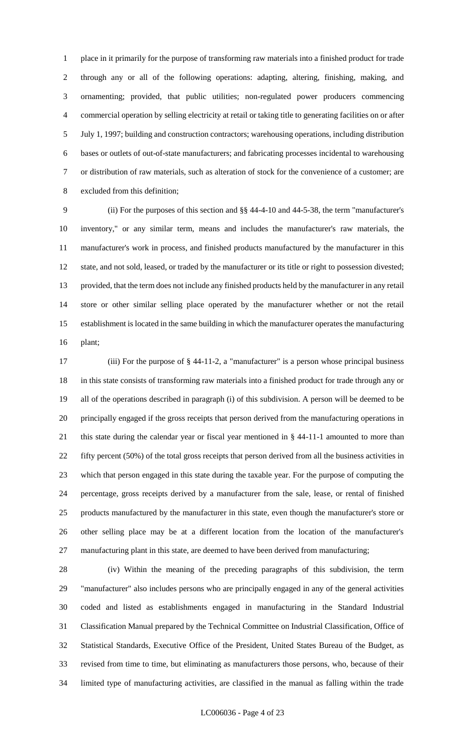place in it primarily for the purpose of transforming raw materials into a finished product for trade through any or all of the following operations: adapting, altering, finishing, making, and ornamenting; provided, that public utilities; non-regulated power producers commencing commercial operation by selling electricity at retail or taking title to generating facilities on or after July 1, 1997; building and construction contractors; warehousing operations, including distribution bases or outlets of out-of-state manufacturers; and fabricating processes incidental to warehousing or distribution of raw materials, such as alteration of stock for the convenience of a customer; are excluded from this definition;

 (ii) For the purposes of this section and §§ 44-4-10 and 44-5-38, the term "manufacturer's inventory," or any similar term, means and includes the manufacturer's raw materials, the manufacturer's work in process, and finished products manufactured by the manufacturer in this state, and not sold, leased, or traded by the manufacturer or its title or right to possession divested; provided, that the term does not include any finished products held by the manufacturer in any retail store or other similar selling place operated by the manufacturer whether or not the retail establishment is located in the same building in which the manufacturer operates the manufacturing plant;

 (iii) For the purpose of § 44-11-2, a "manufacturer" is a person whose principal business in this state consists of transforming raw materials into a finished product for trade through any or all of the operations described in paragraph (i) of this subdivision. A person will be deemed to be principally engaged if the gross receipts that person derived from the manufacturing operations in this state during the calendar year or fiscal year mentioned in § 44-11-1 amounted to more than fifty percent (50%) of the total gross receipts that person derived from all the business activities in which that person engaged in this state during the taxable year. For the purpose of computing the percentage, gross receipts derived by a manufacturer from the sale, lease, or rental of finished products manufactured by the manufacturer in this state, even though the manufacturer's store or other selling place may be at a different location from the location of the manufacturer's manufacturing plant in this state, are deemed to have been derived from manufacturing;

 (iv) Within the meaning of the preceding paragraphs of this subdivision, the term "manufacturer" also includes persons who are principally engaged in any of the general activities coded and listed as establishments engaged in manufacturing in the Standard Industrial Classification Manual prepared by the Technical Committee on Industrial Classification, Office of Statistical Standards, Executive Office of the President, United States Bureau of the Budget, as revised from time to time, but eliminating as manufacturers those persons, who, because of their limited type of manufacturing activities, are classified in the manual as falling within the trade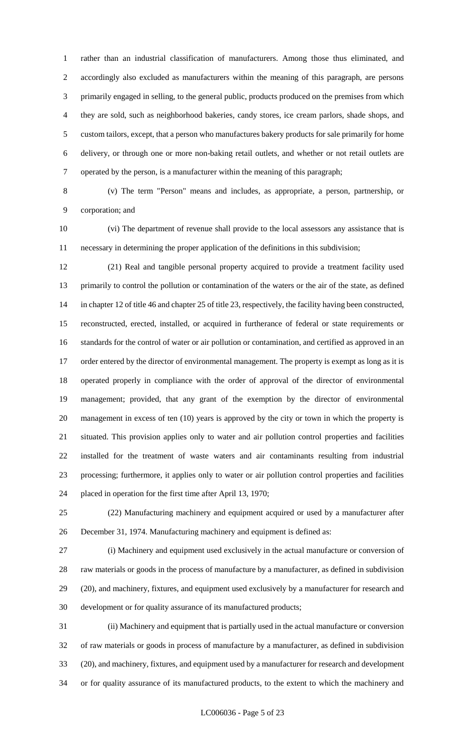rather than an industrial classification of manufacturers. Among those thus eliminated, and accordingly also excluded as manufacturers within the meaning of this paragraph, are persons primarily engaged in selling, to the general public, products produced on the premises from which they are sold, such as neighborhood bakeries, candy stores, ice cream parlors, shade shops, and custom tailors, except, that a person who manufactures bakery products for sale primarily for home delivery, or through one or more non-baking retail outlets, and whether or not retail outlets are operated by the person, is a manufacturer within the meaning of this paragraph;

 (v) The term "Person" means and includes, as appropriate, a person, partnership, or corporation; and

 (vi) The department of revenue shall provide to the local assessors any assistance that is necessary in determining the proper application of the definitions in this subdivision;

 (21) Real and tangible personal property acquired to provide a treatment facility used primarily to control the pollution or contamination of the waters or the air of the state, as defined in chapter 12 of title 46 and chapter 25 of title 23, respectively, the facility having been constructed, reconstructed, erected, installed, or acquired in furtherance of federal or state requirements or standards for the control of water or air pollution or contamination, and certified as approved in an 17 order entered by the director of environmental management. The property is exempt as long as it is operated properly in compliance with the order of approval of the director of environmental management; provided, that any grant of the exemption by the director of environmental management in excess of ten (10) years is approved by the city or town in which the property is situated. This provision applies only to water and air pollution control properties and facilities installed for the treatment of waste waters and air contaminants resulting from industrial processing; furthermore, it applies only to water or air pollution control properties and facilities placed in operation for the first time after April 13, 1970;

 (22) Manufacturing machinery and equipment acquired or used by a manufacturer after December 31, 1974. Manufacturing machinery and equipment is defined as:

 (i) Machinery and equipment used exclusively in the actual manufacture or conversion of raw materials or goods in the process of manufacture by a manufacturer, as defined in subdivision (20), and machinery, fixtures, and equipment used exclusively by a manufacturer for research and development or for quality assurance of its manufactured products;

 (ii) Machinery and equipment that is partially used in the actual manufacture or conversion of raw materials or goods in process of manufacture by a manufacturer, as defined in subdivision (20), and machinery, fixtures, and equipment used by a manufacturer for research and development or for quality assurance of its manufactured products, to the extent to which the machinery and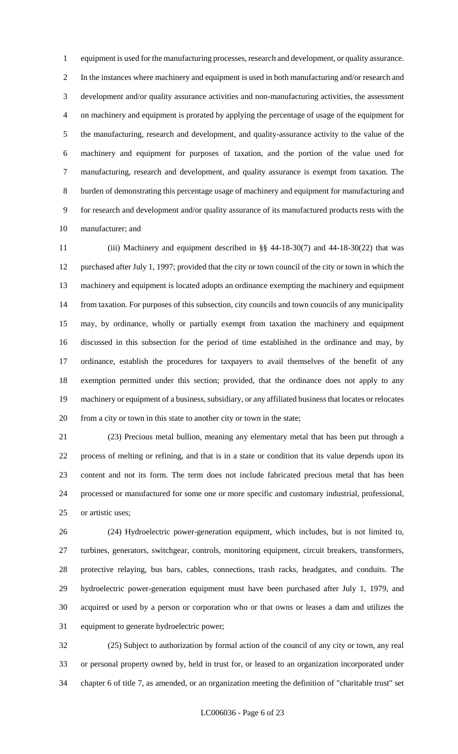equipment is used for the manufacturing processes, research and development, or quality assurance. In the instances where machinery and equipment is used in both manufacturing and/or research and development and/or quality assurance activities and non-manufacturing activities, the assessment on machinery and equipment is prorated by applying the percentage of usage of the equipment for the manufacturing, research and development, and quality-assurance activity to the value of the machinery and equipment for purposes of taxation, and the portion of the value used for manufacturing, research and development, and quality assurance is exempt from taxation. The burden of demonstrating this percentage usage of machinery and equipment for manufacturing and for research and development and/or quality assurance of its manufactured products rests with the manufacturer; and

 (iii) Machinery and equipment described in §§ 44-18-30(7) and 44-18-30(22) that was purchased after July 1, 1997; provided that the city or town council of the city or town in which the machinery and equipment is located adopts an ordinance exempting the machinery and equipment from taxation. For purposes of this subsection, city councils and town councils of any municipality may, by ordinance, wholly or partially exempt from taxation the machinery and equipment discussed in this subsection for the period of time established in the ordinance and may, by ordinance, establish the procedures for taxpayers to avail themselves of the benefit of any exemption permitted under this section; provided, that the ordinance does not apply to any machinery or equipment of a business, subsidiary, or any affiliated business that locates or relocates from a city or town in this state to another city or town in the state;

 (23) Precious metal bullion, meaning any elementary metal that has been put through a process of melting or refining, and that is in a state or condition that its value depends upon its content and not its form. The term does not include fabricated precious metal that has been processed or manufactured for some one or more specific and customary industrial, professional, or artistic uses;

 (24) Hydroelectric power-generation equipment, which includes, but is not limited to, turbines, generators, switchgear, controls, monitoring equipment, circuit breakers, transformers, protective relaying, bus bars, cables, connections, trash racks, headgates, and conduits. The hydroelectric power-generation equipment must have been purchased after July 1, 1979, and acquired or used by a person or corporation who or that owns or leases a dam and utilizes the equipment to generate hydroelectric power;

 (25) Subject to authorization by formal action of the council of any city or town, any real or personal property owned by, held in trust for, or leased to an organization incorporated under chapter 6 of title 7, as amended, or an organization meeting the definition of "charitable trust" set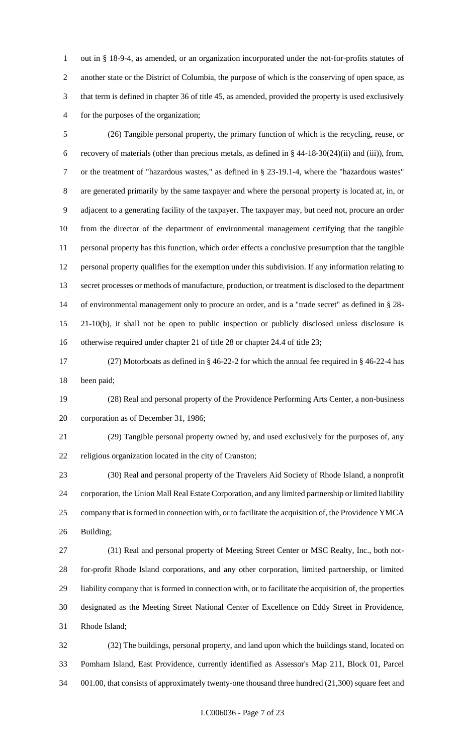out in § 18-9-4, as amended, or an organization incorporated under the not-for-profits statutes of another state or the District of Columbia, the purpose of which is the conserving of open space, as that term is defined in chapter 36 of title 45, as amended, provided the property is used exclusively for the purposes of the organization;

 (26) Tangible personal property, the primary function of which is the recycling, reuse, or recovery of materials (other than precious metals, as defined in § 44-18-30(24)(ii) and (iii)), from, or the treatment of "hazardous wastes," as defined in § 23-19.1-4, where the "hazardous wastes" are generated primarily by the same taxpayer and where the personal property is located at, in, or adjacent to a generating facility of the taxpayer. The taxpayer may, but need not, procure an order from the director of the department of environmental management certifying that the tangible personal property has this function, which order effects a conclusive presumption that the tangible personal property qualifies for the exemption under this subdivision. If any information relating to secret processes or methods of manufacture, production, or treatment is disclosed to the department of environmental management only to procure an order, and is a "trade secret" as defined in § 28- 21-10(b), it shall not be open to public inspection or publicly disclosed unless disclosure is otherwise required under chapter 21 of title 28 or chapter 24.4 of title 23;

 (27) Motorboats as defined in § 46-22-2 for which the annual fee required in § 46-22-4 has been paid;

 (28) Real and personal property of the Providence Performing Arts Center, a non-business corporation as of December 31, 1986;

 (29) Tangible personal property owned by, and used exclusively for the purposes of, any religious organization located in the city of Cranston;

 (30) Real and personal property of the Travelers Aid Society of Rhode Island, a nonprofit corporation, the Union Mall Real Estate Corporation, and any limited partnership or limited liability company that is formed in connection with, or to facilitate the acquisition of, the Providence YMCA Building;

 (31) Real and personal property of Meeting Street Center or MSC Realty, Inc., both not- for-profit Rhode Island corporations, and any other corporation, limited partnership, or limited liability company that is formed in connection with, or to facilitate the acquisition of, the properties designated as the Meeting Street National Center of Excellence on Eddy Street in Providence, Rhode Island;

 (32) The buildings, personal property, and land upon which the buildings stand, located on Pomham Island, East Providence, currently identified as Assessor's Map 211, Block 01, Parcel 001.00, that consists of approximately twenty-one thousand three hundred (21,300) square feet and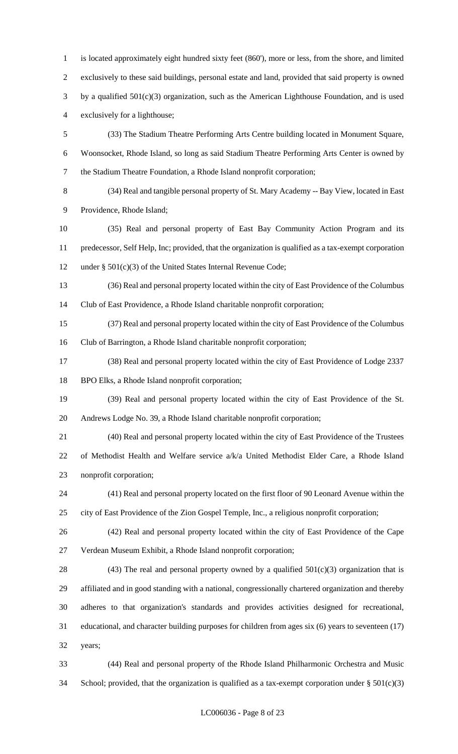is located approximately eight hundred sixty feet (860'), more or less, from the shore, and limited exclusively to these said buildings, personal estate and land, provided that said property is owned by a qualified 501(c)(3) organization, such as the American Lighthouse Foundation, and is used exclusively for a lighthouse; (33) The Stadium Theatre Performing Arts Centre building located in Monument Square, Woonsocket, Rhode Island, so long as said Stadium Theatre Performing Arts Center is owned by the Stadium Theatre Foundation, a Rhode Island nonprofit corporation;

 (34) Real and tangible personal property of St. Mary Academy -- Bay View, located in East Providence, Rhode Island;

 (35) Real and personal property of East Bay Community Action Program and its predecessor, Self Help, Inc; provided, that the organization is qualified as a tax-exempt corporation under § 501(c)(3) of the United States Internal Revenue Code;

 (36) Real and personal property located within the city of East Providence of the Columbus Club of East Providence, a Rhode Island charitable nonprofit corporation;

 (37) Real and personal property located within the city of East Providence of the Columbus Club of Barrington, a Rhode Island charitable nonprofit corporation;

 (38) Real and personal property located within the city of East Providence of Lodge 2337 BPO Elks, a Rhode Island nonprofit corporation;

 (39) Real and personal property located within the city of East Providence of the St. Andrews Lodge No. 39, a Rhode Island charitable nonprofit corporation;

 (40) Real and personal property located within the city of East Providence of the Trustees of Methodist Health and Welfare service a/k/a United Methodist Elder Care, a Rhode Island nonprofit corporation;

 (41) Real and personal property located on the first floor of 90 Leonard Avenue within the city of East Providence of the Zion Gospel Temple, Inc., a religious nonprofit corporation;

 (42) Real and personal property located within the city of East Providence of the Cape Verdean Museum Exhibit, a Rhode Island nonprofit corporation;

28 (43) The real and personal property owned by a qualified  $501(c)(3)$  organization that is affiliated and in good standing with a national, congressionally chartered organization and thereby adheres to that organization's standards and provides activities designed for recreational, educational, and character building purposes for children from ages six (6) years to seventeen (17) years;

 (44) Real and personal property of the Rhode Island Philharmonic Orchestra and Music 34 School; provided, that the organization is qualified as a tax-exempt corporation under  $\S 501(c)(3)$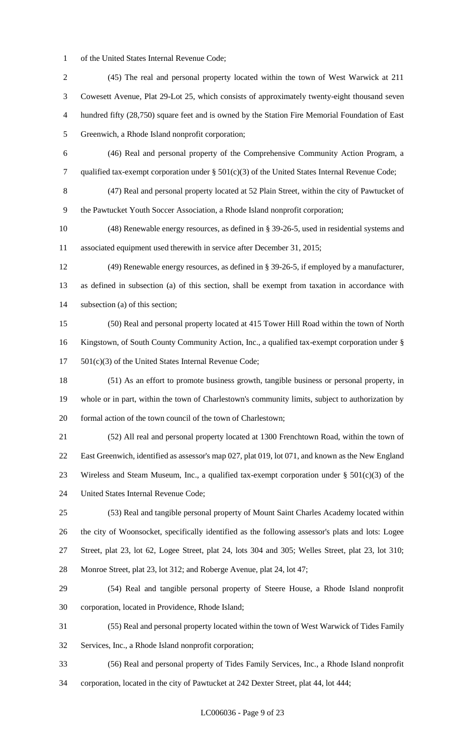of the United States Internal Revenue Code;

 (45) The real and personal property located within the town of West Warwick at 211 Cowesett Avenue, Plat 29-Lot 25, which consists of approximately twenty-eight thousand seven hundred fifty (28,750) square feet and is owned by the Station Fire Memorial Foundation of East Greenwich, a Rhode Island nonprofit corporation; (46) Real and personal property of the Comprehensive Community Action Program, a qualified tax-exempt corporation under § 501(c)(3) of the United States Internal Revenue Code; (47) Real and personal property located at 52 Plain Street, within the city of Pawtucket of the Pawtucket Youth Soccer Association, a Rhode Island nonprofit corporation; (48) Renewable energy resources, as defined in § 39-26-5, used in residential systems and associated equipment used therewith in service after December 31, 2015; (49) Renewable energy resources, as defined in § 39-26-5, if employed by a manufacturer, as defined in subsection (a) of this section, shall be exempt from taxation in accordance with subsection (a) of this section; (50) Real and personal property located at 415 Tower Hill Road within the town of North Kingstown, of South County Community Action, Inc., a qualified tax-exempt corporation under § 501(c)(3) of the United States Internal Revenue Code; (51) As an effort to promote business growth, tangible business or personal property, in whole or in part, within the town of Charlestown's community limits, subject to authorization by formal action of the town council of the town of Charlestown; (52) All real and personal property located at 1300 Frenchtown Road, within the town of East Greenwich, identified as assessor's map 027, plat 019, lot 071, and known as the New England 23 Wireless and Steam Museum, Inc., a qualified tax-exempt corporation under  $\S 501(c)(3)$  of the United States Internal Revenue Code; (53) Real and tangible personal property of Mount Saint Charles Academy located within the city of Woonsocket, specifically identified as the following assessor's plats and lots: Logee Street, plat 23, lot 62, Logee Street, plat 24, lots 304 and 305; Welles Street, plat 23, lot 310; Monroe Street, plat 23, lot 312; and Roberge Avenue, plat 24, lot 47; (54) Real and tangible personal property of Steere House, a Rhode Island nonprofit corporation, located in Providence, Rhode Island; (55) Real and personal property located within the town of West Warwick of Tides Family Services, Inc., a Rhode Island nonprofit corporation; (56) Real and personal property of Tides Family Services, Inc., a Rhode Island nonprofit corporation, located in the city of Pawtucket at 242 Dexter Street, plat 44, lot 444;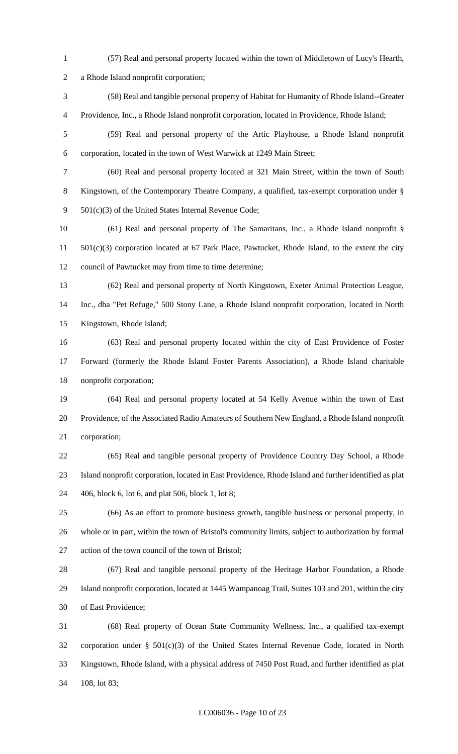- (57) Real and personal property located within the town of Middletown of Lucy's Hearth, a Rhode Island nonprofit corporation; (58) Real and tangible personal property of Habitat for Humanity of Rhode Island--Greater Providence, Inc., a Rhode Island nonprofit corporation, located in Providence, Rhode Island; (59) Real and personal property of the Artic Playhouse, a Rhode Island nonprofit corporation, located in the town of West Warwick at 1249 Main Street; (60) Real and personal property located at 321 Main Street, within the town of South Kingstown, of the Contemporary Theatre Company, a qualified, tax-exempt corporation under § 501(c)(3) of the United States Internal Revenue Code; (61) Real and personal property of The Samaritans, Inc., a Rhode Island nonprofit § 501(c)(3) corporation located at 67 Park Place, Pawtucket, Rhode Island, to the extent the city council of Pawtucket may from time to time determine; (62) Real and personal property of North Kingstown, Exeter Animal Protection League, Inc., dba "Pet Refuge," 500 Stony Lane, a Rhode Island nonprofit corporation, located in North Kingstown, Rhode Island; (63) Real and personal property located within the city of East Providence of Foster Forward (formerly the Rhode Island Foster Parents Association), a Rhode Island charitable nonprofit corporation; (64) Real and personal property located at 54 Kelly Avenue within the town of East Providence, of the Associated Radio Amateurs of Southern New England, a Rhode Island nonprofit corporation; (65) Real and tangible personal property of Providence Country Day School, a Rhode Island nonprofit corporation, located in East Providence, Rhode Island and further identified as plat 406, block 6, lot 6, and plat 506, block 1, lot 8; (66) As an effort to promote business growth, tangible business or personal property, in whole or in part, within the town of Bristol's community limits, subject to authorization by formal action of the town council of the town of Bristol; (67) Real and tangible personal property of the Heritage Harbor Foundation, a Rhode Island nonprofit corporation, located at 1445 Wampanoag Trail, Suites 103 and 201, within the city of East Providence; (68) Real property of Ocean State Community Wellness, Inc., a qualified tax-exempt corporation under § 501(c)(3) of the United States Internal Revenue Code, located in North Kingstown, Rhode Island, with a physical address of 7450 Post Road, and further identified as plat
- 108, lot 83;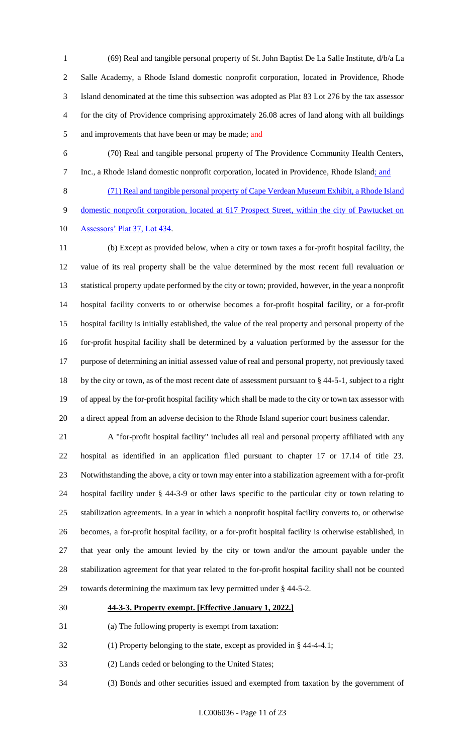(69) Real and tangible personal property of St. John Baptist De La Salle Institute, d/b/a La Salle Academy, a Rhode Island domestic nonprofit corporation, located in Providence, Rhode Island denominated at the time this subsection was adopted as Plat 83 Lot 276 by the tax assessor for the city of Providence comprising approximately 26.08 acres of land along with all buildings 5 and improvements that have been or may be made; and

 (70) Real and tangible personal property of The Providence Community Health Centers, 7 Inc., a Rhode Island domestic nonprofit corporation, located in Providence, Rhode Island; and

 (71) Real and tangible personal property of Cape Verdean Museum Exhibit, a Rhode Island 9 domestic nonprofit corporation, located at 617 Prospect Street, within the city of Pawtucket on Assessors' Plat 37, Lot 434.

 (b) Except as provided below, when a city or town taxes a for-profit hospital facility, the value of its real property shall be the value determined by the most recent full revaluation or statistical property update performed by the city or town; provided, however, in the year a nonprofit hospital facility converts to or otherwise becomes a for-profit hospital facility, or a for-profit hospital facility is initially established, the value of the real property and personal property of the for-profit hospital facility shall be determined by a valuation performed by the assessor for the purpose of determining an initial assessed value of real and personal property, not previously taxed 18 by the city or town, as of the most recent date of assessment pursuant to § 44-5-1, subject to a right of appeal by the for-profit hospital facility which shall be made to the city or town tax assessor with a direct appeal from an adverse decision to the Rhode Island superior court business calendar.

 A "for-profit hospital facility" includes all real and personal property affiliated with any hospital as identified in an application filed pursuant to chapter 17 or 17.14 of title 23. Notwithstanding the above, a city or town may enter into a stabilization agreement with a for-profit hospital facility under § 44-3-9 or other laws specific to the particular city or town relating to stabilization agreements. In a year in which a nonprofit hospital facility converts to, or otherwise becomes, a for-profit hospital facility, or a for-profit hospital facility is otherwise established, in that year only the amount levied by the city or town and/or the amount payable under the stabilization agreement for that year related to the for-profit hospital facility shall not be counted towards determining the maximum tax levy permitted under § 44-5-2.

#### **44-3-3. Property exempt. [Effective January 1, 2022.]**

- (a) The following property is exempt from taxation:
- (1) Property belonging to the state, except as provided in § 44-4-4.1;
- (2) Lands ceded or belonging to the United States;
- (3) Bonds and other securities issued and exempted from taxation by the government of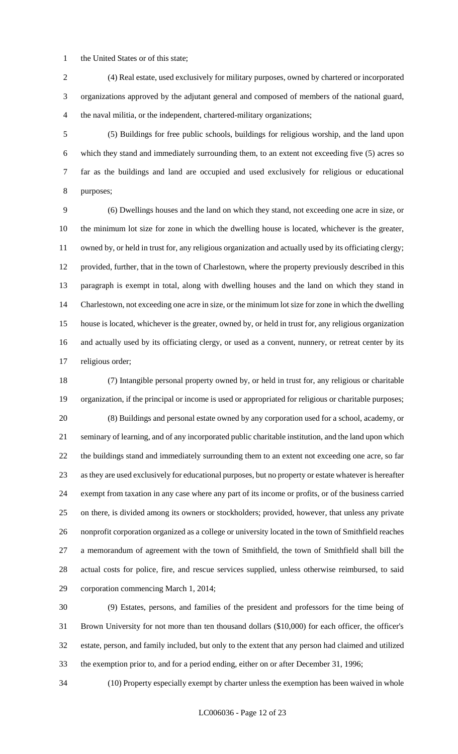the United States or of this state;

 (4) Real estate, used exclusively for military purposes, owned by chartered or incorporated organizations approved by the adjutant general and composed of members of the national guard, the naval militia, or the independent, chartered-military organizations;

 (5) Buildings for free public schools, buildings for religious worship, and the land upon which they stand and immediately surrounding them, to an extent not exceeding five (5) acres so far as the buildings and land are occupied and used exclusively for religious or educational purposes;

 (6) Dwellings houses and the land on which they stand, not exceeding one acre in size, or the minimum lot size for zone in which the dwelling house is located, whichever is the greater, owned by, or held in trust for, any religious organization and actually used by its officiating clergy; provided, further, that in the town of Charlestown, where the property previously described in this paragraph is exempt in total, along with dwelling houses and the land on which they stand in Charlestown, not exceeding one acre in size, or the minimum lot size for zone in which the dwelling house is located, whichever is the greater, owned by, or held in trust for, any religious organization and actually used by its officiating clergy, or used as a convent, nunnery, or retreat center by its religious order;

 (7) Intangible personal property owned by, or held in trust for, any religious or charitable organization, if the principal or income is used or appropriated for religious or charitable purposes; (8) Buildings and personal estate owned by any corporation used for a school, academy, or seminary of learning, and of any incorporated public charitable institution, and the land upon which the buildings stand and immediately surrounding them to an extent not exceeding one acre, so far as they are used exclusively for educational purposes, but no property or estate whatever is hereafter exempt from taxation in any case where any part of its income or profits, or of the business carried on there, is divided among its owners or stockholders; provided, however, that unless any private nonprofit corporation organized as a college or university located in the town of Smithfield reaches a memorandum of agreement with the town of Smithfield, the town of Smithfield shall bill the actual costs for police, fire, and rescue services supplied, unless otherwise reimbursed, to said corporation commencing March 1, 2014;

 (9) Estates, persons, and families of the president and professors for the time being of Brown University for not more than ten thousand dollars (\$10,000) for each officer, the officer's estate, person, and family included, but only to the extent that any person had claimed and utilized the exemption prior to, and for a period ending, either on or after December 31, 1996;

(10) Property especially exempt by charter unless the exemption has been waived in whole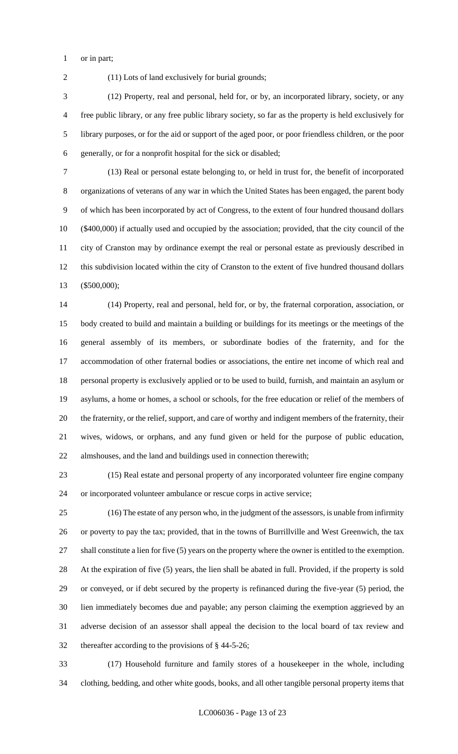or in part;

(11) Lots of land exclusively for burial grounds;

 (12) Property, real and personal, held for, or by, an incorporated library, society, or any free public library, or any free public library society, so far as the property is held exclusively for library purposes, or for the aid or support of the aged poor, or poor friendless children, or the poor generally, or for a nonprofit hospital for the sick or disabled;

 (13) Real or personal estate belonging to, or held in trust for, the benefit of incorporated organizations of veterans of any war in which the United States has been engaged, the parent body of which has been incorporated by act of Congress, to the extent of four hundred thousand dollars (\$400,000) if actually used and occupied by the association; provided, that the city council of the city of Cranston may by ordinance exempt the real or personal estate as previously described in this subdivision located within the city of Cranston to the extent of five hundred thousand dollars (\$500,000);

 (14) Property, real and personal, held for, or by, the fraternal corporation, association, or body created to build and maintain a building or buildings for its meetings or the meetings of the general assembly of its members, or subordinate bodies of the fraternity, and for the accommodation of other fraternal bodies or associations, the entire net income of which real and personal property is exclusively applied or to be used to build, furnish, and maintain an asylum or asylums, a home or homes, a school or schools, for the free education or relief of the members of the fraternity, or the relief, support, and care of worthy and indigent members of the fraternity, their wives, widows, or orphans, and any fund given or held for the purpose of public education, almshouses, and the land and buildings used in connection therewith;

 (15) Real estate and personal property of any incorporated volunteer fire engine company or incorporated volunteer ambulance or rescue corps in active service;

 (16) The estate of any person who, in the judgment of the assessors, is unable from infirmity or poverty to pay the tax; provided, that in the towns of Burrillville and West Greenwich, the tax shall constitute a lien for five (5) years on the property where the owner is entitled to the exemption. At the expiration of five (5) years, the lien shall be abated in full. Provided, if the property is sold or conveyed, or if debt secured by the property is refinanced during the five-year (5) period, the lien immediately becomes due and payable; any person claiming the exemption aggrieved by an adverse decision of an assessor shall appeal the decision to the local board of tax review and thereafter according to the provisions of § 44-5-26;

 (17) Household furniture and family stores of a housekeeper in the whole, including clothing, bedding, and other white goods, books, and all other tangible personal property items that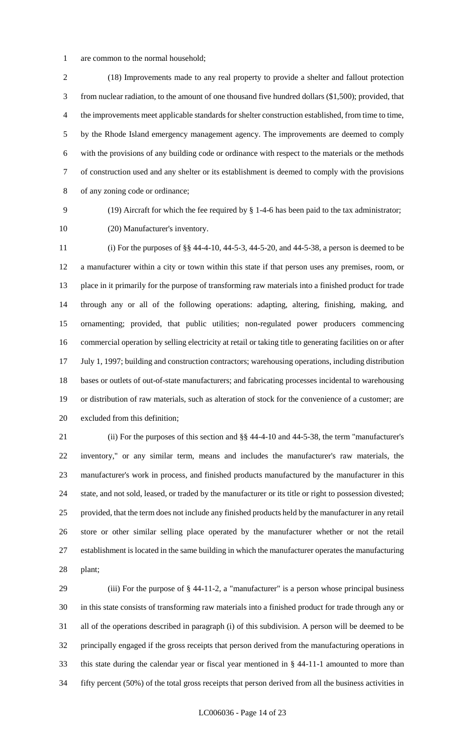are common to the normal household;

 (18) Improvements made to any real property to provide a shelter and fallout protection from nuclear radiation, to the amount of one thousand five hundred dollars (\$1,500); provided, that the improvements meet applicable standards for shelter construction established, from time to time, by the Rhode Island emergency management agency. The improvements are deemed to comply with the provisions of any building code or ordinance with respect to the materials or the methods of construction used and any shelter or its establishment is deemed to comply with the provisions of any zoning code or ordinance;

(19) Aircraft for which the fee required by § 1-4-6 has been paid to the tax administrator;

(20) Manufacturer's inventory.

 (i) For the purposes of §§ 44-4-10, 44-5-3, 44-5-20, and 44-5-38, a person is deemed to be a manufacturer within a city or town within this state if that person uses any premises, room, or place in it primarily for the purpose of transforming raw materials into a finished product for trade through any or all of the following operations: adapting, altering, finishing, making, and ornamenting; provided, that public utilities; non-regulated power producers commencing commercial operation by selling electricity at retail or taking title to generating facilities on or after July 1, 1997; building and construction contractors; warehousing operations, including distribution bases or outlets of out-of-state manufacturers; and fabricating processes incidental to warehousing or distribution of raw materials, such as alteration of stock for the convenience of a customer; are excluded from this definition;

 (ii) For the purposes of this section and §§ 44-4-10 and 44-5-38, the term "manufacturer's inventory," or any similar term, means and includes the manufacturer's raw materials, the manufacturer's work in process, and finished products manufactured by the manufacturer in this state, and not sold, leased, or traded by the manufacturer or its title or right to possession divested; provided, that the term does not include any finished products held by the manufacturer in any retail store or other similar selling place operated by the manufacturer whether or not the retail establishment is located in the same building in which the manufacturer operates the manufacturing plant;

 (iii) For the purpose of § 44-11-2, a "manufacturer" is a person whose principal business in this state consists of transforming raw materials into a finished product for trade through any or all of the operations described in paragraph (i) of this subdivision. A person will be deemed to be principally engaged if the gross receipts that person derived from the manufacturing operations in this state during the calendar year or fiscal year mentioned in § 44-11-1 amounted to more than fifty percent (50%) of the total gross receipts that person derived from all the business activities in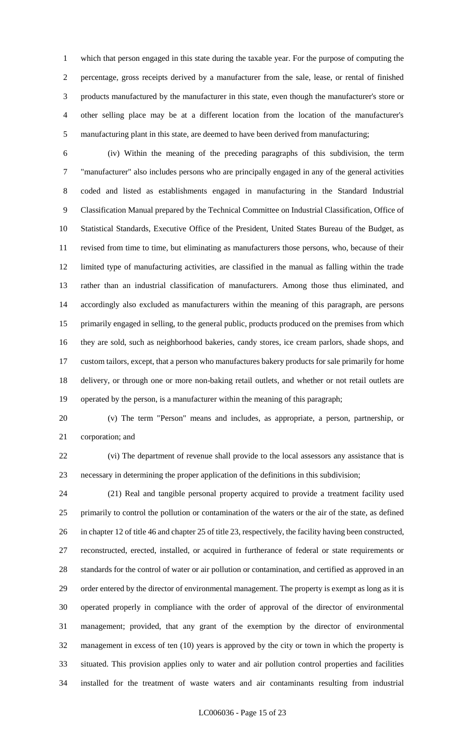which that person engaged in this state during the taxable year. For the purpose of computing the percentage, gross receipts derived by a manufacturer from the sale, lease, or rental of finished products manufactured by the manufacturer in this state, even though the manufacturer's store or other selling place may be at a different location from the location of the manufacturer's manufacturing plant in this state, are deemed to have been derived from manufacturing;

 (iv) Within the meaning of the preceding paragraphs of this subdivision, the term "manufacturer" also includes persons who are principally engaged in any of the general activities coded and listed as establishments engaged in manufacturing in the Standard Industrial Classification Manual prepared by the Technical Committee on Industrial Classification, Office of Statistical Standards, Executive Office of the President, United States Bureau of the Budget, as revised from time to time, but eliminating as manufacturers those persons, who, because of their limited type of manufacturing activities, are classified in the manual as falling within the trade rather than an industrial classification of manufacturers. Among those thus eliminated, and accordingly also excluded as manufacturers within the meaning of this paragraph, are persons primarily engaged in selling, to the general public, products produced on the premises from which they are sold, such as neighborhood bakeries, candy stores, ice cream parlors, shade shops, and custom tailors, except, that a person who manufactures bakery products for sale primarily for home delivery, or through one or more non-baking retail outlets, and whether or not retail outlets are operated by the person, is a manufacturer within the meaning of this paragraph;

 (v) The term "Person" means and includes, as appropriate, a person, partnership, or corporation; and

 (vi) The department of revenue shall provide to the local assessors any assistance that is necessary in determining the proper application of the definitions in this subdivision;

 (21) Real and tangible personal property acquired to provide a treatment facility used primarily to control the pollution or contamination of the waters or the air of the state, as defined in chapter 12 of title 46 and chapter 25 of title 23, respectively, the facility having been constructed, reconstructed, erected, installed, or acquired in furtherance of federal or state requirements or standards for the control of water or air pollution or contamination, and certified as approved in an order entered by the director of environmental management. The property is exempt as long as it is operated properly in compliance with the order of approval of the director of environmental management; provided, that any grant of the exemption by the director of environmental management in excess of ten (10) years is approved by the city or town in which the property is situated. This provision applies only to water and air pollution control properties and facilities installed for the treatment of waste waters and air contaminants resulting from industrial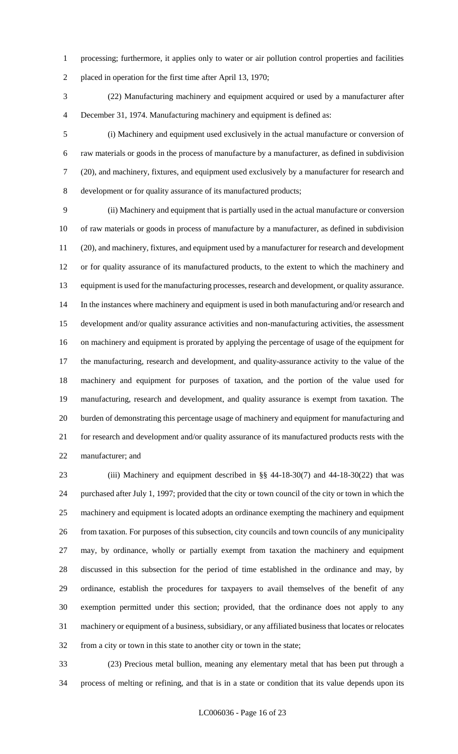processing; furthermore, it applies only to water or air pollution control properties and facilities placed in operation for the first time after April 13, 1970;

 (22) Manufacturing machinery and equipment acquired or used by a manufacturer after December 31, 1974. Manufacturing machinery and equipment is defined as:

 (i) Machinery and equipment used exclusively in the actual manufacture or conversion of raw materials or goods in the process of manufacture by a manufacturer, as defined in subdivision (20), and machinery, fixtures, and equipment used exclusively by a manufacturer for research and development or for quality assurance of its manufactured products;

 (ii) Machinery and equipment that is partially used in the actual manufacture or conversion of raw materials or goods in process of manufacture by a manufacturer, as defined in subdivision (20), and machinery, fixtures, and equipment used by a manufacturer for research and development or for quality assurance of its manufactured products, to the extent to which the machinery and equipment is used for the manufacturing processes, research and development, or quality assurance. In the instances where machinery and equipment is used in both manufacturing and/or research and development and/or quality assurance activities and non-manufacturing activities, the assessment on machinery and equipment is prorated by applying the percentage of usage of the equipment for the manufacturing, research and development, and quality-assurance activity to the value of the machinery and equipment for purposes of taxation, and the portion of the value used for manufacturing, research and development, and quality assurance is exempt from taxation. The burden of demonstrating this percentage usage of machinery and equipment for manufacturing and for research and development and/or quality assurance of its manufactured products rests with the manufacturer; and

 (iii) Machinery and equipment described in §§ 44-18-30(7) and 44-18-30(22) that was purchased after July 1, 1997; provided that the city or town council of the city or town in which the machinery and equipment is located adopts an ordinance exempting the machinery and equipment from taxation. For purposes of this subsection, city councils and town councils of any municipality may, by ordinance, wholly or partially exempt from taxation the machinery and equipment discussed in this subsection for the period of time established in the ordinance and may, by ordinance, establish the procedures for taxpayers to avail themselves of the benefit of any exemption permitted under this section; provided, that the ordinance does not apply to any machinery or equipment of a business, subsidiary, or any affiliated business that locates or relocates from a city or town in this state to another city or town in the state;

 (23) Precious metal bullion, meaning any elementary metal that has been put through a process of melting or refining, and that is in a state or condition that its value depends upon its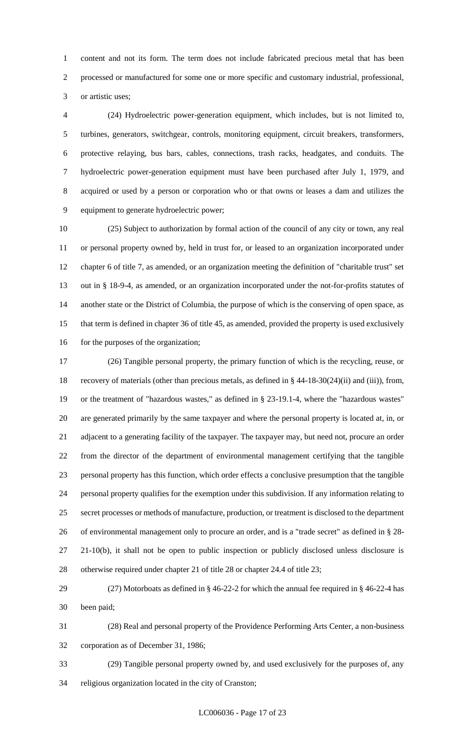content and not its form. The term does not include fabricated precious metal that has been processed or manufactured for some one or more specific and customary industrial, professional, or artistic uses;

 (24) Hydroelectric power-generation equipment, which includes, but is not limited to, turbines, generators, switchgear, controls, monitoring equipment, circuit breakers, transformers, protective relaying, bus bars, cables, connections, trash racks, headgates, and conduits. The hydroelectric power-generation equipment must have been purchased after July 1, 1979, and acquired or used by a person or corporation who or that owns or leases a dam and utilizes the equipment to generate hydroelectric power;

 (25) Subject to authorization by formal action of the council of any city or town, any real or personal property owned by, held in trust for, or leased to an organization incorporated under chapter 6 of title 7, as amended, or an organization meeting the definition of "charitable trust" set out in § 18-9-4, as amended, or an organization incorporated under the not-for-profits statutes of another state or the District of Columbia, the purpose of which is the conserving of open space, as that term is defined in chapter 36 of title 45, as amended, provided the property is used exclusively 16 for the purposes of the organization;

 (26) Tangible personal property, the primary function of which is the recycling, reuse, or recovery of materials (other than precious metals, as defined in § 44-18-30(24)(ii) and (iii)), from, or the treatment of "hazardous wastes," as defined in § 23-19.1-4, where the "hazardous wastes" are generated primarily by the same taxpayer and where the personal property is located at, in, or adjacent to a generating facility of the taxpayer. The taxpayer may, but need not, procure an order from the director of the department of environmental management certifying that the tangible personal property has this function, which order effects a conclusive presumption that the tangible personal property qualifies for the exemption under this subdivision. If any information relating to secret processes or methods of manufacture, production, or treatment is disclosed to the department of environmental management only to procure an order, and is a "trade secret" as defined in § 28- 21-10(b), it shall not be open to public inspection or publicly disclosed unless disclosure is otherwise required under chapter 21 of title 28 or chapter 24.4 of title 23;

 (27) Motorboats as defined in § 46-22-2 for which the annual fee required in § 46-22-4 has been paid;

 (28) Real and personal property of the Providence Performing Arts Center, a non-business corporation as of December 31, 1986;

 (29) Tangible personal property owned by, and used exclusively for the purposes of, any religious organization located in the city of Cranston;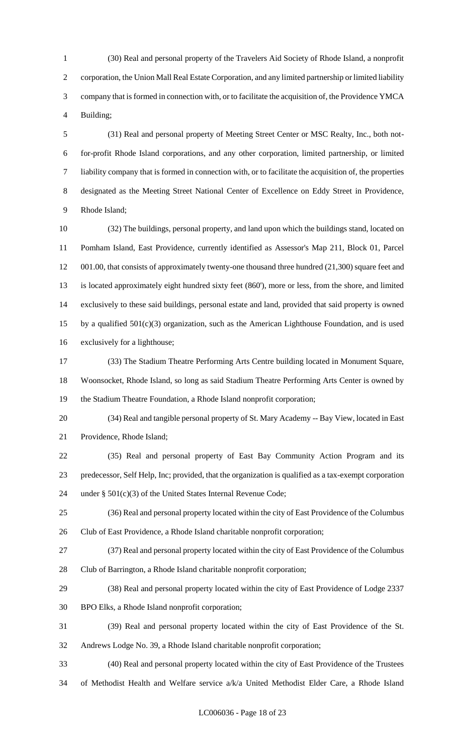(30) Real and personal property of the Travelers Aid Society of Rhode Island, a nonprofit corporation, the Union Mall Real Estate Corporation, and any limited partnership or limited liability company that is formed in connection with, or to facilitate the acquisition of, the Providence YMCA Building;

 (31) Real and personal property of Meeting Street Center or MSC Realty, Inc., both not- for-profit Rhode Island corporations, and any other corporation, limited partnership, or limited liability company that is formed in connection with, or to facilitate the acquisition of, the properties designated as the Meeting Street National Center of Excellence on Eddy Street in Providence, Rhode Island;

 (32) The buildings, personal property, and land upon which the buildings stand, located on Pomham Island, East Providence, currently identified as Assessor's Map 211, Block 01, Parcel 12 001.00, that consists of approximately twenty-one thousand three hundred (21,300) square feet and is located approximately eight hundred sixty feet (860'), more or less, from the shore, and limited exclusively to these said buildings, personal estate and land, provided that said property is owned 15 by a qualified  $501(c)(3)$  organization, such as the American Lighthouse Foundation, and is used exclusively for a lighthouse;

 (33) The Stadium Theatre Performing Arts Centre building located in Monument Square, Woonsocket, Rhode Island, so long as said Stadium Theatre Performing Arts Center is owned by the Stadium Theatre Foundation, a Rhode Island nonprofit corporation;

 (34) Real and tangible personal property of St. Mary Academy -- Bay View, located in East Providence, Rhode Island;

 (35) Real and personal property of East Bay Community Action Program and its predecessor, Self Help, Inc; provided, that the organization is qualified as a tax-exempt corporation under § 501(c)(3) of the United States Internal Revenue Code;

 (36) Real and personal property located within the city of East Providence of the Columbus Club of East Providence, a Rhode Island charitable nonprofit corporation;

(37) Real and personal property located within the city of East Providence of the Columbus

- Club of Barrington, a Rhode Island charitable nonprofit corporation;
- (38) Real and personal property located within the city of East Providence of Lodge 2337
- BPO Elks, a Rhode Island nonprofit corporation;
- (39) Real and personal property located within the city of East Providence of the St.
- Andrews Lodge No. 39, a Rhode Island charitable nonprofit corporation;

 (40) Real and personal property located within the city of East Providence of the Trustees of Methodist Health and Welfare service a/k/a United Methodist Elder Care, a Rhode Island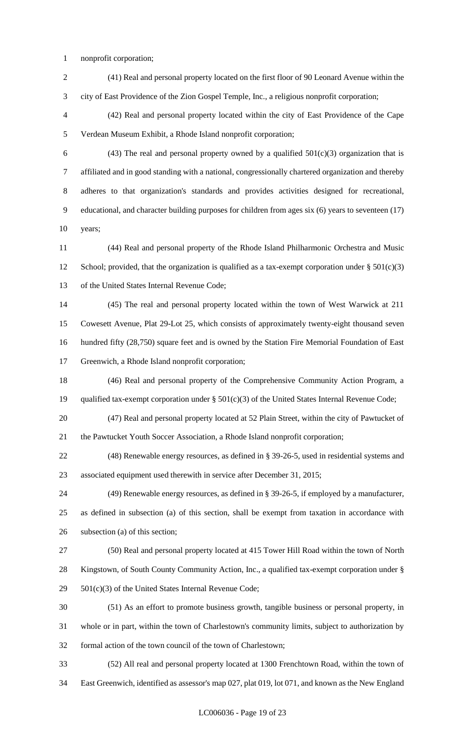- nonprofit corporation;
- (41) Real and personal property located on the first floor of 90 Leonard Avenue within the city of East Providence of the Zion Gospel Temple, Inc., a religious nonprofit corporation;
- (42) Real and personal property located within the city of East Providence of the Cape Verdean Museum Exhibit, a Rhode Island nonprofit corporation;
- 6 (43) The real and personal property owned by a qualified  $501(c)(3)$  organization that is affiliated and in good standing with a national, congressionally chartered organization and thereby adheres to that organization's standards and provides activities designed for recreational, educational, and character building purposes for children from ages six (6) years to seventeen (17) years;
- (44) Real and personal property of the Rhode Island Philharmonic Orchestra and Music 12 School; provided, that the organization is qualified as a tax-exempt corporation under  $\S 501(c)(3)$ of the United States Internal Revenue Code;
- (45) The real and personal property located within the town of West Warwick at 211 Cowesett Avenue, Plat 29-Lot 25, which consists of approximately twenty-eight thousand seven hundred fifty (28,750) square feet and is owned by the Station Fire Memorial Foundation of East Greenwich, a Rhode Island nonprofit corporation;
- (46) Real and personal property of the Comprehensive Community Action Program, a 19 qualified tax-exempt corporation under § 501(c)(3) of the United States Internal Revenue Code;
- (47) Real and personal property located at 52 Plain Street, within the city of Pawtucket of the Pawtucket Youth Soccer Association, a Rhode Island nonprofit corporation;
- (48) Renewable energy resources, as defined in § 39-26-5, used in residential systems and associated equipment used therewith in service after December 31, 2015;
- (49) Renewable energy resources, as defined in § 39-26-5, if employed by a manufacturer, as defined in subsection (a) of this section, shall be exempt from taxation in accordance with subsection (a) of this section;
- (50) Real and personal property located at 415 Tower Hill Road within the town of North Kingstown, of South County Community Action, Inc., a qualified tax-exempt corporation under § 501(c)(3) of the United States Internal Revenue Code;
- (51) As an effort to promote business growth, tangible business or personal property, in whole or in part, within the town of Charlestown's community limits, subject to authorization by formal action of the town council of the town of Charlestown;
- (52) All real and personal property located at 1300 Frenchtown Road, within the town of East Greenwich, identified as assessor's map 027, plat 019, lot 071, and known as the New England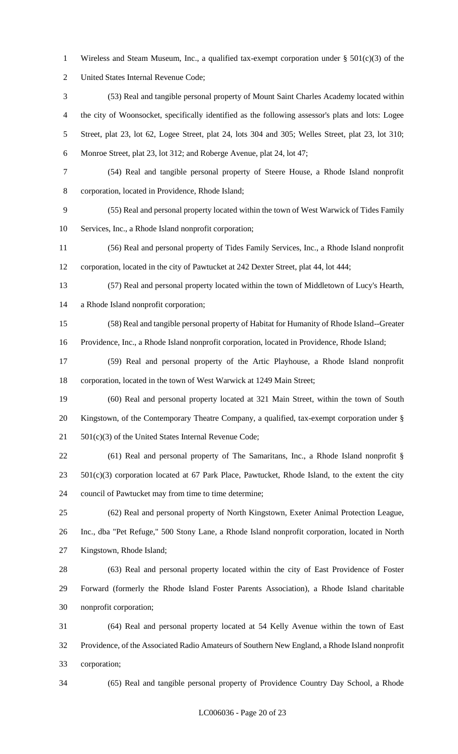- Wireless and Steam Museum, Inc., a qualified tax-exempt corporation under § 501(c)(3) of the
- United States Internal Revenue Code;
- (53) Real and tangible personal property of Mount Saint Charles Academy located within the city of Woonsocket, specifically identified as the following assessor's plats and lots: Logee Street, plat 23, lot 62, Logee Street, plat 24, lots 304 and 305; Welles Street, plat 23, lot 310; Monroe Street, plat 23, lot 312; and Roberge Avenue, plat 24, lot 47;
- (54) Real and tangible personal property of Steere House, a Rhode Island nonprofit

corporation, located in Providence, Rhode Island;

 (55) Real and personal property located within the town of West Warwick of Tides Family Services, Inc., a Rhode Island nonprofit corporation;

 (56) Real and personal property of Tides Family Services, Inc., a Rhode Island nonprofit corporation, located in the city of Pawtucket at 242 Dexter Street, plat 44, lot 444;

 (57) Real and personal property located within the town of Middletown of Lucy's Hearth, a Rhode Island nonprofit corporation;

 (58) Real and tangible personal property of Habitat for Humanity of Rhode Island--Greater Providence, Inc., a Rhode Island nonprofit corporation, located in Providence, Rhode Island;

 (59) Real and personal property of the Artic Playhouse, a Rhode Island nonprofit corporation, located in the town of West Warwick at 1249 Main Street;

 (60) Real and personal property located at 321 Main Street, within the town of South Kingstown, of the Contemporary Theatre Company, a qualified, tax-exempt corporation under § 21 501(c)(3) of the United States Internal Revenue Code;

 (61) Real and personal property of The Samaritans, Inc., a Rhode Island nonprofit § 501(c)(3) corporation located at 67 Park Place, Pawtucket, Rhode Island, to the extent the city council of Pawtucket may from time to time determine;

 (62) Real and personal property of North Kingstown, Exeter Animal Protection League, Inc., dba "Pet Refuge," 500 Stony Lane, a Rhode Island nonprofit corporation, located in North Kingstown, Rhode Island;

 (63) Real and personal property located within the city of East Providence of Foster Forward (formerly the Rhode Island Foster Parents Association), a Rhode Island charitable nonprofit corporation;

 (64) Real and personal property located at 54 Kelly Avenue within the town of East Providence, of the Associated Radio Amateurs of Southern New England, a Rhode Island nonprofit corporation;

(65) Real and tangible personal property of Providence Country Day School, a Rhode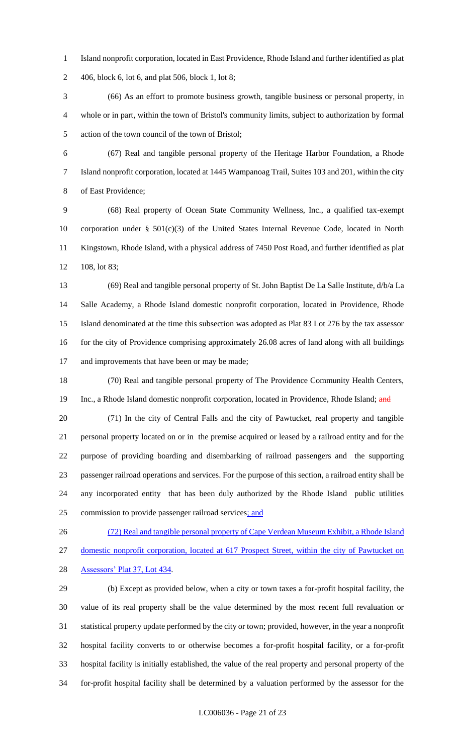Island nonprofit corporation, located in East Providence, Rhode Island and further identified as plat 406, block 6, lot 6, and plat 506, block 1, lot 8;

 (66) As an effort to promote business growth, tangible business or personal property, in whole or in part, within the town of Bristol's community limits, subject to authorization by formal action of the town council of the town of Bristol;

 (67) Real and tangible personal property of the Heritage Harbor Foundation, a Rhode Island nonprofit corporation, located at 1445 Wampanoag Trail, Suites 103 and 201, within the city of East Providence;

 (68) Real property of Ocean State Community Wellness, Inc., a qualified tax-exempt corporation under § 501(c)(3) of the United States Internal Revenue Code, located in North Kingstown, Rhode Island, with a physical address of 7450 Post Road, and further identified as plat 108, lot 83;

 (69) Real and tangible personal property of St. John Baptist De La Salle Institute, d/b/a La Salle Academy, a Rhode Island domestic nonprofit corporation, located in Providence, Rhode Island denominated at the time this subsection was adopted as Plat 83 Lot 276 by the tax assessor 16 for the city of Providence comprising approximately 26.08 acres of land along with all buildings 17 and improvements that have been or may be made;

 (70) Real and tangible personal property of The Providence Community Health Centers, 19 Inc., a Rhode Island domestic nonprofit corporation, located in Providence, Rhode Island; and

 (71) In the city of Central Falls and the city of Pawtucket, real property and tangible personal property located on or in the premise acquired or leased by a railroad entity and for the purpose of providing boarding and disembarking of railroad passengers and the supporting passenger railroad operations and services. For the purpose of this section, a railroad entity shall be any incorporated entity that has been duly authorized by the Rhode Island public utilities commission to provide passenger railroad services; and

 (72) Real and tangible personal property of Cape Verdean Museum Exhibit, a Rhode Island domestic nonprofit corporation, located at 617 Prospect Street, within the city of Pawtucket on Assessors' Plat 37, Lot 434.

 (b) Except as provided below, when a city or town taxes a for-profit hospital facility, the value of its real property shall be the value determined by the most recent full revaluation or statistical property update performed by the city or town; provided, however, in the year a nonprofit hospital facility converts to or otherwise becomes a for-profit hospital facility, or a for-profit hospital facility is initially established, the value of the real property and personal property of the for-profit hospital facility shall be determined by a valuation performed by the assessor for the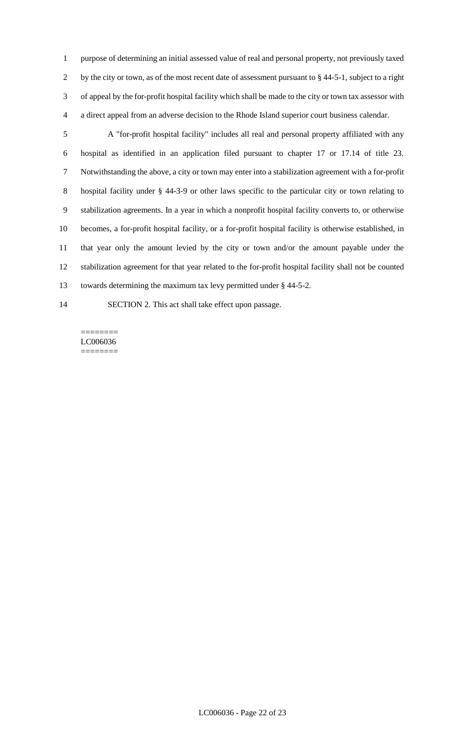purpose of determining an initial assessed value of real and personal property, not previously taxed 2 by the city or town, as of the most recent date of assessment pursuant to § 44-5-1, subject to a right of appeal by the for-profit hospital facility which shall be made to the city or town tax assessor with a direct appeal from an adverse decision to the Rhode Island superior court business calendar.

 A "for-profit hospital facility" includes all real and personal property affiliated with any hospital as identified in an application filed pursuant to chapter 17 or 17.14 of title 23. Notwithstanding the above, a city or town may enter into a stabilization agreement with a for-profit hospital facility under § 44-3-9 or other laws specific to the particular city or town relating to stabilization agreements. In a year in which a nonprofit hospital facility converts to, or otherwise becomes, a for-profit hospital facility, or a for-profit hospital facility is otherwise established, in that year only the amount levied by the city or town and/or the amount payable under the stabilization agreement for that year related to the for-profit hospital facility shall not be counted towards determining the maximum tax levy permitted under § 44-5-2.

SECTION 2. This act shall take effect upon passage.

======== LC006036 ========